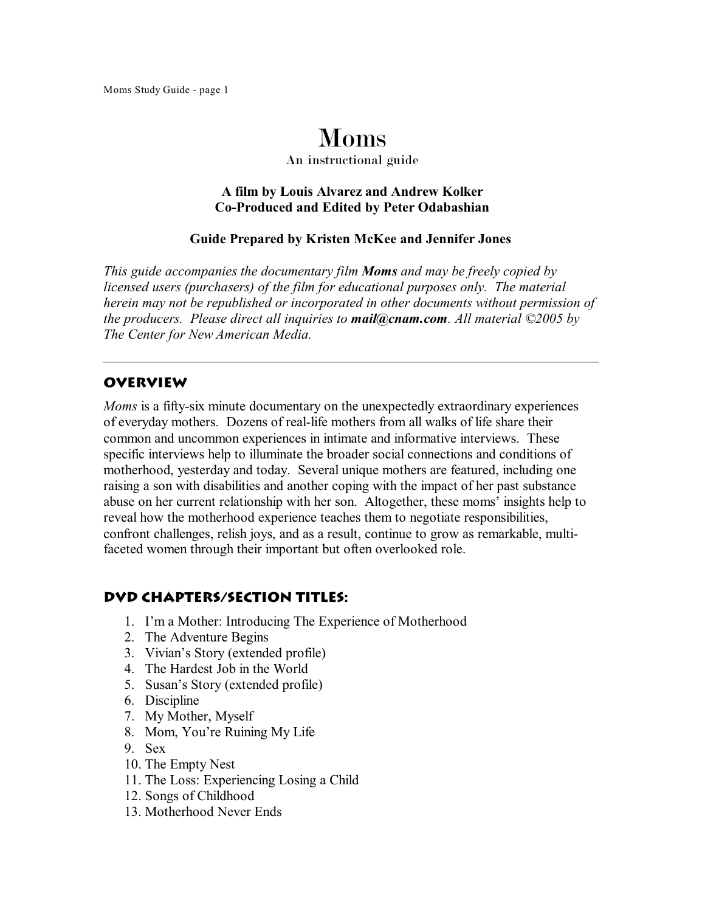# Moms

An instructional guide

#### **A film by Louis Alvarez and Andrew Kolker Co-Produced and Edited by Peter Odabashian**

#### **Guide Prepared by Kristen McKee and Jennifer Jones**

*This guide accompanies the documentary film Moms and may be freely copied by licensed users (purchasers) of the film for educational purposes only. The material herein may not be republished or incorporated in other documents without permission of the producers. Please direct all inquiries to mail@cnam.com. All material ©2005 by The Center for New American Media.*

#### **OVERVIEW**

*Moms* is a fifty-six minute documentary on the unexpectedly extraordinary experiences of everyday mothers. Dozens of real-life mothers from all walks of life share their common and uncommon experiences in intimate and informative interviews. These specific interviews help to illuminate the broader social connections and conditions of motherhood, yesterday and today. Several unique mothers are featured, including one raising a son with disabilities and another coping with the impact of her past substance abuse on her current relationship with her son. Altogether, these moms' insights help to reveal how the motherhood experience teaches them to negotiate responsibilities, confront challenges, relish joys, and as a result, continue to grow as remarkable, multifaceted women through their important but often overlooked role.

#### **DVD CHAPTERS/SECTION TITLES:**

- 1. I'm a Mother: Introducing The Experience of Motherhood
- 2. The Adventure Begins
- 3. Vivian's Story (extended profile)
- 4. The Hardest Job in the World
- 5. Susan's Story (extended profile)
- 6. Discipline
- 7. My Mother, Myself
- 8. Mom, You're Ruining My Life
- 9. Sex
- 10. The Empty Nest
- 11. The Loss: Experiencing Losing a Child
- 12. Songs of Childhood
- 13. Motherhood Never Ends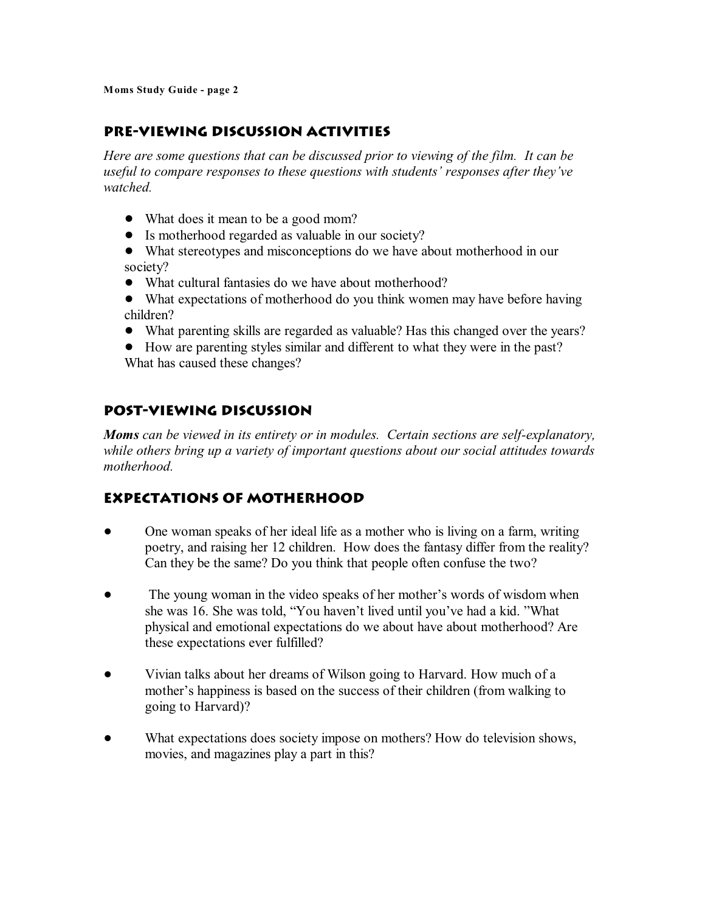**Moms Study Guide - page 2**

#### **PRE-VIEWING DISCUSSION ACTIVITIES**

*Here are some questions that can be discussed prior to viewing of the film. It can be useful to compare responses to these questions with students' responses after they've watched.*

- What does it mean to be a good mom?
- Is motherhood regarded as valuable in our society?
- What stereotypes and misconceptions do we have about motherhood in our society?
- ! What cultural fantasies do we have about motherhood?
- What expectations of motherhood do you think women may have before having children?
- ! What parenting skills are regarded as valuable? Has this changed over the years?
- ! How are parenting styles similar and different to what they were in the past? What has caused these changes?

#### **POST-VIEWING DISCUSSION**

*Moms can be viewed in its entirety or in modules. Certain sections are self-explanatory, while others bring up a variety of important questions about our social attitudes towards motherhood.*

# **EXPECTATIONS OF MOTHERHOOD**

- One woman speaks of her ideal life as a mother who is living on a farm, writing poetry, and raising her 12 children. How does the fantasy differ from the reality? Can they be the same? Do you think that people often confuse the two?
- The young woman in the video speaks of her mother's words of wisdom when she was 16. She was told, "You haven't lived until you've had a kid. "What physical and emotional expectations do we about have about motherhood? Are these expectations ever fulfilled?
- ! Vivian talks about her dreams of Wilson going to Harvard. How much of a mother's happiness is based on the success of their children (from walking to going to Harvard)?
- ! What expectations does society impose on mothers? How do television shows, movies, and magazines play a part in this?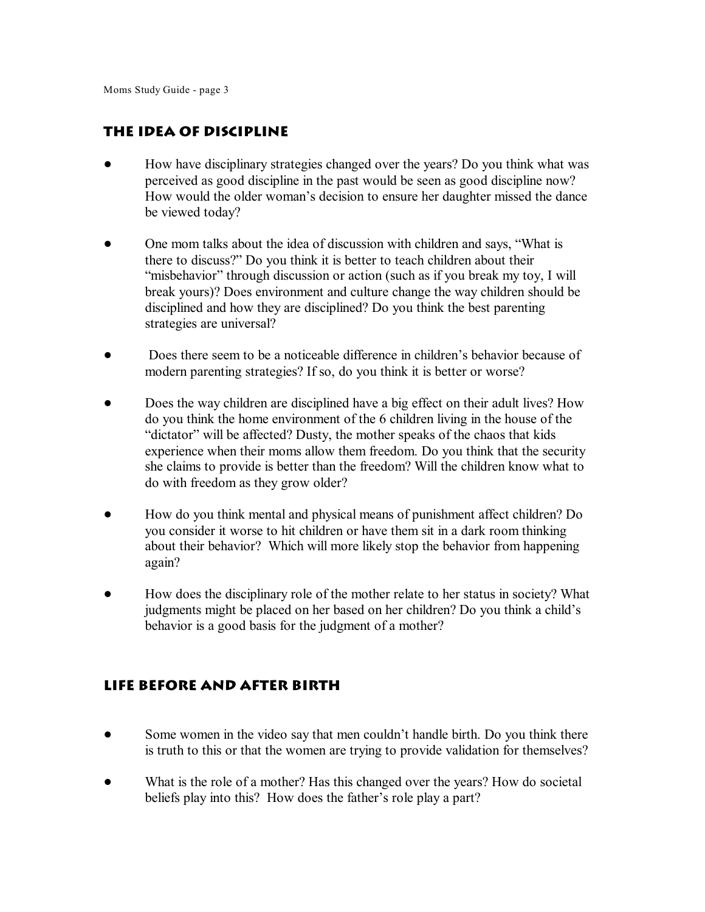Moms Study Guide - page 3

# **THE IDEA OF DISCIPLINE**

- ! How have disciplinary strategies changed over the years? Do you think what was perceived as good discipline in the past would be seen as good discipline now? How would the older woman's decision to ensure her daughter missed the dance be viewed today?
- One mom talks about the idea of discussion with children and says, "What is there to discuss?" Do you think it is better to teach children about their "misbehavior" through discussion or action (such as if you break my toy, I will break yours)? Does environment and culture change the way children should be disciplined and how they are disciplined? Do you think the best parenting strategies are universal?
- Does there seem to be a noticeable difference in children's behavior because of modern parenting strategies? If so, do you think it is better or worse?
- ! Does the way children are disciplined have a big effect on their adult lives? How do you think the home environment of the 6 children living in the house of the "dictator" will be affected? Dusty, the mother speaks of the chaos that kids experience when their moms allow them freedom. Do you think that the security she claims to provide is better than the freedom? Will the children know what to do with freedom as they grow older?
- ! How do you think mental and physical means of punishment affect children? Do you consider it worse to hit children or have them sit in a dark room thinking about their behavior? Which will more likely stop the behavior from happening again?
- ! How does the disciplinary role of the mother relate to her status in society? What judgments might be placed on her based on her children? Do you think a child's behavior is a good basis for the judgment of a mother?

# **LIFE BEFORE AND AFTER BIRTH**

- Some women in the video say that men couldn't handle birth. Do you think there is truth to this or that the women are trying to provide validation for themselves?
- What is the role of a mother? Has this changed over the years? How do societal beliefs play into this? How does the father's role play a part?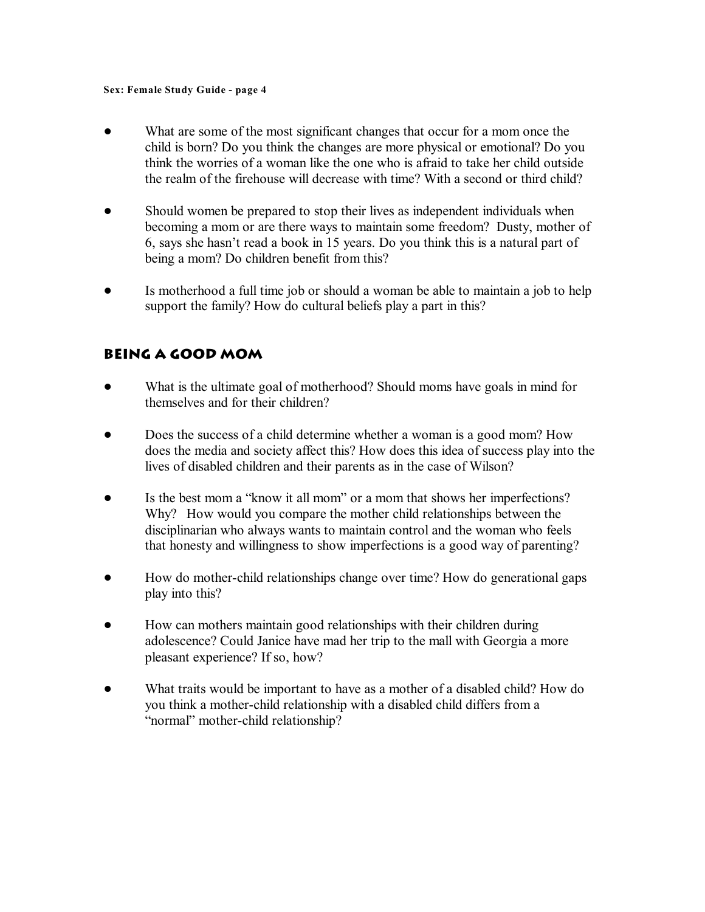#### **Sex: Female Study Guide - page 4**

- What are some of the most significant changes that occur for a mom once the child is born? Do you think the changes are more physical or emotional? Do you think the worries of a woman like the one who is afraid to take her child outside the realm of the firehouse will decrease with time? With a second or third child?
- Should women be prepared to stop their lives as independent individuals when becoming a mom or are there ways to maintain some freedom? Dusty, mother of 6, says she hasn't read a book in 15 years. Do you think this is a natural part of being a mom? Do children benefit from this?
- ! Is motherhood a full time job or should a woman be able to maintain a job to help support the family? How do cultural beliefs play a part in this?

#### **BEING A GOOD MOM**

- What is the ultimate goal of motherhood? Should moms have goals in mind for themselves and for their children?
- Does the success of a child determine whether a woman is a good mom? How does the media and society affect this? How does this idea of success play into the lives of disabled children and their parents as in the case of Wilson?
- Is the best mom a "know it all mom" or a mom that shows her imperfections? Why? How would you compare the mother child relationships between the disciplinarian who always wants to maintain control and the woman who feels that honesty and willingness to show imperfections is a good way of parenting?
- ! How do mother-child relationships change over time? How do generational gaps play into this?
- ! How can mothers maintain good relationships with their children during adolescence? Could Janice have mad her trip to the mall with Georgia a more pleasant experience? If so, how?
- What traits would be important to have as a mother of a disabled child? How do you think a mother-child relationship with a disabled child differs from a "normal" mother-child relationship?